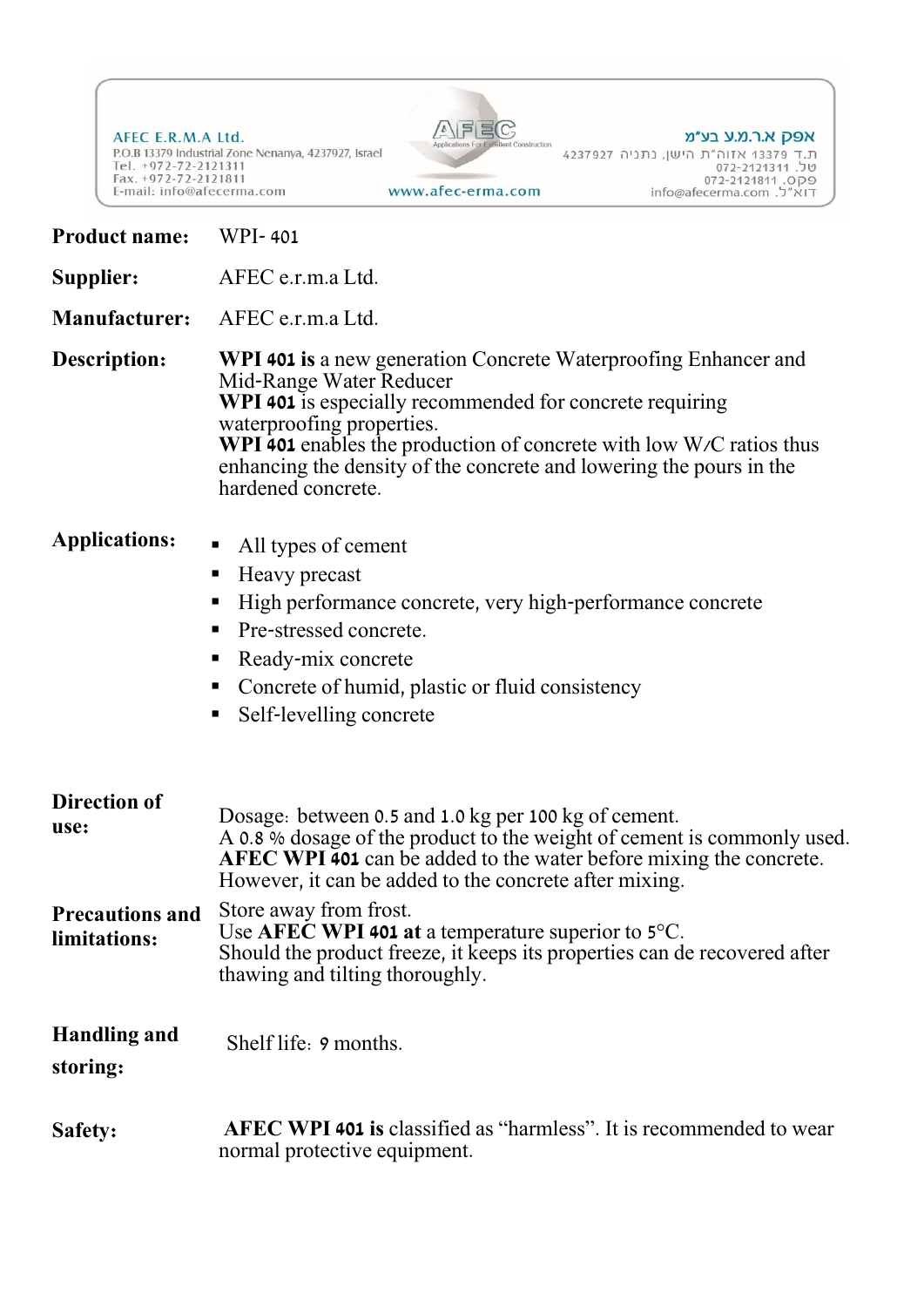AFEC E.R.M.A Ltd. P.O.B 13379 Industrial Zone Nenanya, 4237927, Israel Tel. +972-72-2121311<br>Fax. +972-72-2121811 E-mail: info@afecerma.com www.afec-erma.com



אפק א.ר.מ.ע בע״מ 

| <b>Product name:</b>                   | WPI-401                                                                                                                                                                                                                                                                                                                                                 |
|----------------------------------------|---------------------------------------------------------------------------------------------------------------------------------------------------------------------------------------------------------------------------------------------------------------------------------------------------------------------------------------------------------|
| Supplier:                              | AFEC e.r.m.a Ltd.                                                                                                                                                                                                                                                                                                                                       |
| <b>Manufacturer:</b>                   | AFEC e.r.m.a Ltd.                                                                                                                                                                                                                                                                                                                                       |
| Description:                           | WPI 401 is a new generation Concrete Waterproofing Enhancer and<br>Mid-Range Water Reducer<br>WPI 401 is especially recommended for concrete requiring<br>waterproofing properties.<br>WPI 401 enables the production of concrete with low W/C ratios thus<br>enhancing the density of the concrete and lowering the pours in the<br>hardened concrete. |
| <b>Applications:</b>                   | All types of cement<br>п<br>Heavy precast<br>п<br>High performance concrete, very high-performance concrete<br>п<br>Pre-stressed concrete.<br>п<br>Ready-mix concrete<br>п<br>Concrete of humid, plastic or fluid consistency<br>Self-levelling concrete<br>п                                                                                           |
| Direction of<br>use:                   | Dosage: between 0.5 and 1.0 kg per 100 kg of cement.<br>A 0.8 % dosage of the product to the weight of cement is commonly used.<br><b>AFEC WPI 401</b> can be added to the water before mixing the concrete.<br>However, it can be added to the concrete after mixing.                                                                                  |
| <b>Precautions and</b><br>limitations: | Store away from frost.<br>Use AFEC WPI 401 at a temperature superior to $5^{\circ}$ C.<br>Should the product freeze, it keeps its properties can de recovered after<br>thawing and tilting thoroughly.                                                                                                                                                  |
| <b>Handling and</b><br>storing:        | Shelf life: 9 months.                                                                                                                                                                                                                                                                                                                                   |
| <b>Safety:</b>                         | <b>AFEC WPI 401 is classified as "harmless".</b> It is recommended to wear<br>normal protective equipment.                                                                                                                                                                                                                                              |